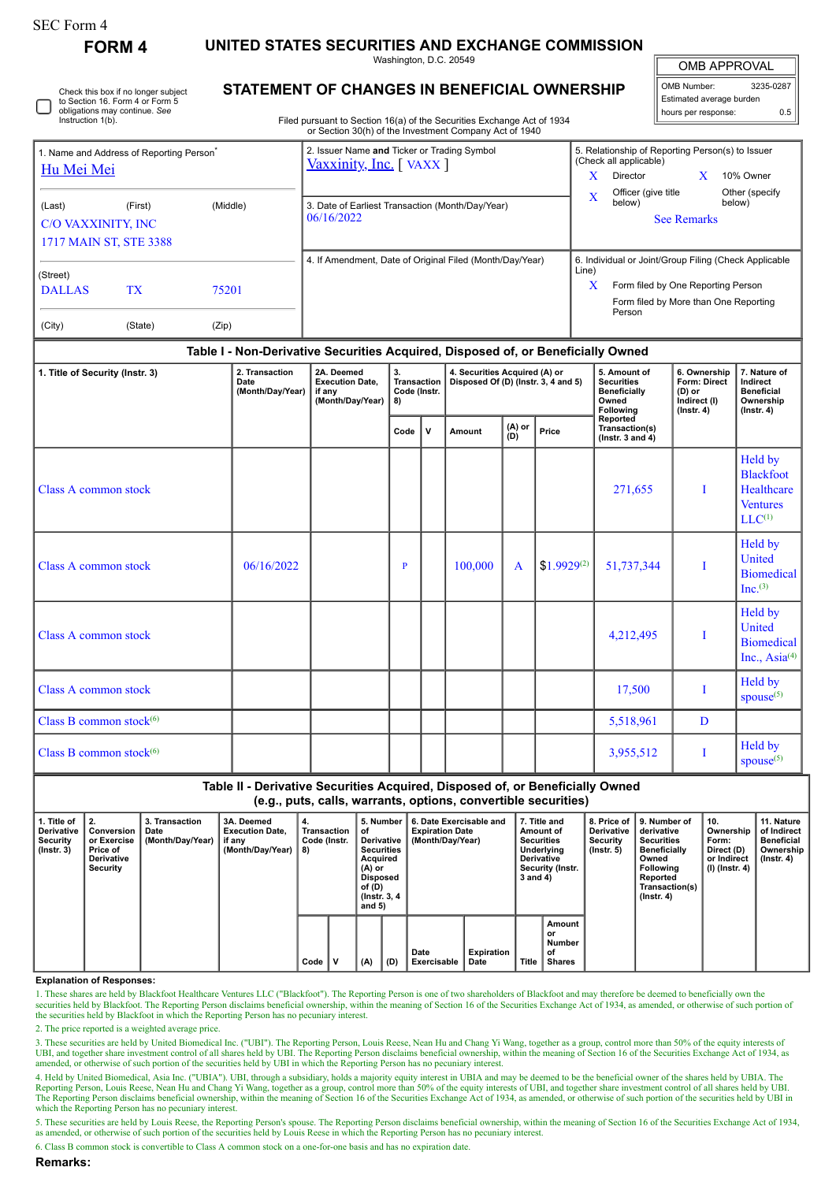| SEC Form 4 |
|------------|
|------------|

**FORM 4 UNITED STATES SECURITIES AND EXCHANGE COMMISSION**

Washington, D.C. 20549

| Check this box if no longer subject<br>to Section 16. Form 4 or Form 5<br>obligations may continue. See<br>Instruction 1(b). |
|------------------------------------------------------------------------------------------------------------------------------|
|                                                                                                                              |

**STATEMENT OF CHANGES IN BENEFICIAL OWNERSHIP**

Filed pursuant to Section 16(a) of the Securities Exchange Act of 1934 or Section 30(h) of the Investment Company Act of 1940

| OMB APPROVAL |
|--------------|
|              |

| OMB Number:              | 3235-0287 |
|--------------------------|-----------|
| Estimated average burden |           |
| hours per response:      | 0.5       |

| 1. Name and Address of Reporting Person <sup>®</sup><br>Hu Mei Mei                   |  |                | 2. Issuer Name and Ticker or Trading Symbol<br>Vaxxinity, Inc. [VAXX] | x                    | 5. Relationship of Reporting Person(s) to Issuer<br>(Check all applicable)<br>Director                                                         |  | 10% Owner                 |
|--------------------------------------------------------------------------------------|--|----------------|-----------------------------------------------------------------------|----------------------|------------------------------------------------------------------------------------------------------------------------------------------------|--|---------------------------|
| (Middle)<br>(Last)<br>(First)<br><b>C/O VAXXINITY, INC</b><br>1717 MAIN ST, STE 3388 |  |                | 3. Date of Earliest Transaction (Month/Day/Year)<br>06/16/2022        | X                    | Officer (give title<br>below)<br><b>See Remarks</b>                                                                                            |  | Other (specify)<br>below) |
| (Street)<br><b>DALLAS</b><br>TX <sup>1</sup><br>(City)<br>(State)                    |  | 75201<br>(Zip) | 4. If Amendment, Date of Original Filed (Month/Day/Year)              | Line)<br>$\mathbf x$ | 6. Individual or Joint/Group Filing (Check Applicable<br>Form filed by One Reporting Person<br>Form filed by More than One Reporting<br>Person |  |                           |

## **Table I - Non-Derivative Securities Acquired, Disposed of, or Beneficially Owned**

| 1. Title of Security (Instr. 3)     | 2. Transaction<br>Date<br>(Month/Day/Year) | 2A. Deemed<br><b>Execution Date,</b><br>if any<br>(Month/Day/Year) | 3.<br>Transaction<br>Code (Instr.<br>8) |  | 4. Securities Acquired (A) or<br>Disposed Of (D) (Instr. 3, 4 and 5) |                            |                 | 5. Amount of<br><b>Securities</b><br><b>Beneficially</b><br>Owned<br>Following | 6. Ownership<br>Form: Direct<br>(D) or<br>Indirect (I)<br>$($ lnstr. 4 $)$ | 7. Nature of<br>Indirect<br><b>Beneficial</b><br>Ownership<br>$($ Instr. 4 $)$ |  |
|-------------------------------------|--------------------------------------------|--------------------------------------------------------------------|-----------------------------------------|--|----------------------------------------------------------------------|----------------------------|-----------------|--------------------------------------------------------------------------------|----------------------------------------------------------------------------|--------------------------------------------------------------------------------|--|
|                                     |                                            |                                                                    | Code<br>$\mathbf v$                     |  | <b>Amount</b>                                                        | $(A)$ or<br>$(D)$<br>Price |                 | Reported<br>Transaction(s)<br>( $lnstr. 3 and 4$ )                             |                                                                            |                                                                                |  |
| <b>Class A common stock</b>         |                                            |                                                                    |                                         |  |                                                                      |                            |                 | 271,655                                                                        |                                                                            | Held by<br><b>Blackfoot</b><br>Healthcare<br><b>Ventures</b><br>$LLC^{(1)}$    |  |
| <b>Class A common stock</b>         | 06/16/2022                                 |                                                                    | P                                       |  | 100,000                                                              | $\mathbf{A}$               | $$1.9929^{(2)}$ | 51,737,344                                                                     | T                                                                          | Held by<br><b>United</b><br><b>Biomedical</b><br>Inc. <sup>(3)</sup>           |  |
| <b>Class A common stock</b>         |                                            |                                                                    |                                         |  |                                                                      |                            |                 | 4,212,495                                                                      |                                                                            | Held by<br>United<br><b>Biomedical</b><br>Inc., Asia <sup>(4)</sup>            |  |
| Class A common stock                |                                            |                                                                    |                                         |  |                                                                      |                            |                 | 17,500                                                                         |                                                                            | Held by<br>spouse <sup>(5)</sup>                                               |  |
| Class B common stock $(6)$          |                                            |                                                                    |                                         |  |                                                                      |                            |                 | 5,518,961                                                                      | D                                                                          |                                                                                |  |
| Class B common stock <sup>(6)</sup> |                                            |                                                                    |                                         |  |                                                                      |                            |                 | 3,955,512                                                                      |                                                                            | Held by<br>$spouse^{(5)}$                                                      |  |

## **Table II - Derivative Securities Acquired, Disposed of, or Beneficially Owned**

| (e.g., puts, calls, warrants, options, convertible securities) |  |
|----------------------------------------------------------------|--|
|----------------------------------------------------------------|--|

| 1. Title of<br><b>Derivative</b><br>Security<br>$($ lnstr. 3 $)$ | 2.<br>Conversion<br>or Exercise<br>Price of<br>Derivative<br>Security | 3. Transaction<br>Date<br>(Month/Day/Year) | 3A. Deemed<br><b>Execution Date.</b><br>if any<br>(Month/Day/Year) | 4.<br>Transaction<br>Code (Instr.<br>8) |  | 5. Number<br>οt<br>Derivative<br><b>Securities</b><br>Acquired<br>(A) or<br>Disposed<br>of (D)<br>(Instr. 3, 4)<br>and $5)$<br>(A)<br>(D) |  | 6. Date Exercisable and<br><b>Expiration Date</b><br>(Month/Day/Year) | 7. Title and<br>Amount of<br><b>Securities</b><br>Underlying<br><b>Derivative</b><br>Security (Instr.<br>3 and 4) |              | <b>Derivative</b><br>Security<br>$($ lnstr. 5 $)$ | 8. Price of 19. Number of<br>derivative<br><b>Securities</b><br><b>Beneficially</b><br>Owned<br><b>Following</b><br>Reported<br>Transaction(s)<br>$($ lnstr. 4 $)$ | 10.<br>Ownership<br>Form:<br>Direct (D)<br>or Indirect<br>(I) (Instr. 4) | 11. Nature<br>of Indirect<br><b>Beneficial</b><br>Ownership<br>(Instr. 4) |
|------------------------------------------------------------------|-----------------------------------------------------------------------|--------------------------------------------|--------------------------------------------------------------------|-----------------------------------------|--|-------------------------------------------------------------------------------------------------------------------------------------------|--|-----------------------------------------------------------------------|-------------------------------------------------------------------------------------------------------------------|--------------|---------------------------------------------------|--------------------------------------------------------------------------------------------------------------------------------------------------------------------|--------------------------------------------------------------------------|---------------------------------------------------------------------------|
|                                                                  |                                                                       |                                            |                                                                    | Code                                    |  |                                                                                                                                           |  | Date<br>Exercisable                                                   | <b>Expiration</b><br>Date                                                                                         | <b>Title</b> | Amount<br>or<br>Number<br>of<br><b>Shares</b>     |                                                                                                                                                                    |                                                                          |                                                                           |

**Explanation of Responses:**

1. These shares are held by Blackfoot Healthcare Ventures LLC ("Blackfoot"). The Reporting Person is one of two shareholders of Blackfoot and may therefore be deemed to beneficially own the securities held by Blackfoot. The Reporting Person disclaims beneficial ownership, within the meaning of Section 16 of the Securities Exchange Act of 1934, as amended, or otherwise of such portion of the securities held by Blackfoot in which the Reporting Person has no pecuniary interest.

2. The price reported is a weighted average price.

3. These securities are held by United Biomedical Inc. ("UBI"). The Reporting Person, Louis Reese, Nean Hu and Chang Yi Wang, together as a group, control more than 50% of the equity interests of UBI, and together share investment control of all shares held by UBI. The Reporting Person disclaims beneficial ownership, within the meaning of Section 16 of the Securities Exchange Act of 1934, as amended, or otherwise of such portion of the securities held by UBI in which the Reporting Person has no pecuniary interest.

4. Held by United Biomedical, Asia Inc. ("UBIA"). UBI, through a subsidiary, holds a majority equity interest in UBIA and may be deemed to be the beneficial owner of the shares held by UBIA. The<br>Reporting Person, Louis Ree which the Reporting Person has no pecuniary interest.

5. These securities are held by Louis Reese, the Reporting Person's spouse. The Reporting Person disclaims beneficial ownership, within the meaning of Section 16 of the Securities Exchange Act of 1934, as amended, or other

6. Class B common stock is convertible to Class A common stock on a one-for-one basis and has no expiration date.

**Remarks:**